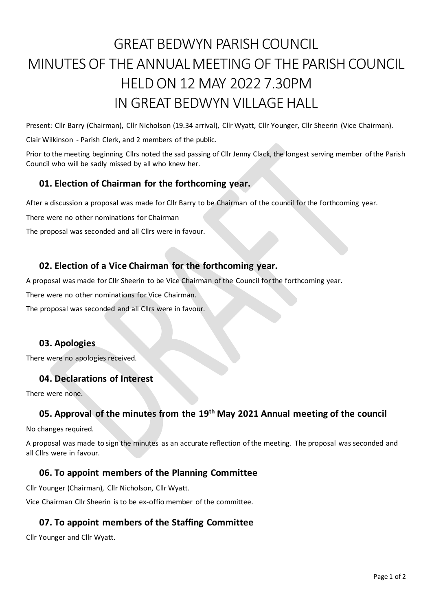# GREAT BEDWYN PARISH COUNCIL MINUTES OF THE ANNUAL MEETING OF THE PARISHCOUNCIL HELD ON 12 MAY 2022 7.30PM IN GREAT BEDWYN VILLAGE HALL

Present: Cllr Barry (Chairman), Cllr Nicholson (19.34 arrival), Cllr Wyatt, Cllr Younger, Cllr Sheerin (Vice Chairman).

Clair Wilkinson - Parish Clerk, and 2 members of the public.

Prior to the meeting beginning Cllrs noted the sad passing of Cllr Jenny Clack, the longest serving member of the Parish Council who will be sadly missed by all who knew her.

## **01. Election of Chairman for the forthcoming year.**

After a discussion a proposal was made for Cllr Barry to be Chairman of the council for the forthcoming year.

There were no other nominations for Chairman

The proposal was seconded and all Cllrs were in favour.

# **02. Election of a Vice Chairman for the forthcoming year.**

A proposal was made for Cllr Sheerin to be Vice Chairman of the Council for the forthcoming year.

There were no other nominations for Vice Chairman.

The proposal was seconded and all Cllrs were in favour.

### **03. Apologies**

There were no apologies received.

### **04. Declarations of Interest**

There were none.

# **05. Approval of the minutes from the 19th May 2021 Annual meeting of the council**

No changes required.

A proposal was made to sign the minutes as an accurate reflection of the meeting. The proposal was seconded and all Cllrs were in favour.

## **06. To appoint members of the Planning Committee**

Cllr Younger (Chairman), Cllr Nicholson, Cllr Wyatt.

Vice Chairman Cllr Sheerin is to be ex-offio member of the committee.

## **07. To appoint members of the Staffing Committee**

Cllr Younger and Cllr Wyatt.